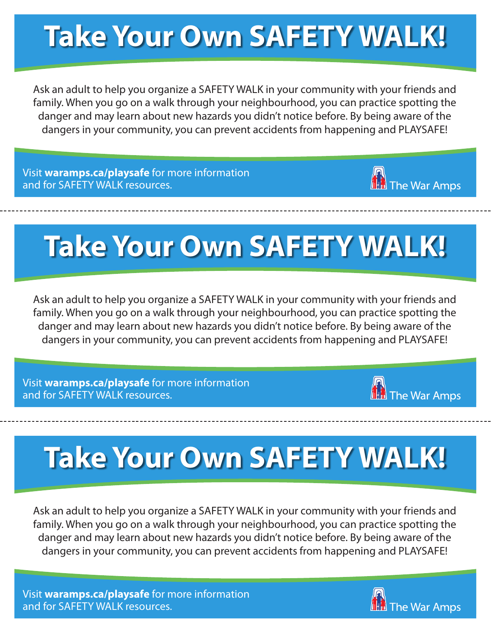## **Take Your Own SAFETY WALK!**

Ask an adult to help you organize a SAFETY WALK in your community with your friends and family. When you go on a walk through your neighbourhood, you can practice spotting the danger and may learn about new hazards you didn't notice before. By being aware of the dangers in your community, you can prevent accidents from happening and PLAYSAFE!

Visit **waramps.ca/playsafe** for more information and for SAFETY WALK resources.



# **Take Your Own SAFETY WALK!**

Ask an adult to help you organize a SAFETY WALK in your community with your friends and family. When you go on a walk through your neighbourhood, you can practice spotting the danger and may learn about new hazards you didn't notice before. By being aware of the dangers in your community, you can prevent accidents from happening and PLAYSAFE!

Visit **waramps.ca/playsafe** for more information and for SAFETY WALK resources.



# **Take Your Own SAFETY WALK!**

Ask an adult to help you organize a SAFETY WALK in your community with your friends and family. When you go on a walk through your neighbourhood, you can practice spotting the danger and may learn about new hazards you didn't notice before. By being aware of the dangers in your community, you can prevent accidents from happening and PLAYSAFE!

Visit **waramps.ca/playsafe** for more information and for SAFETY WALK resources.